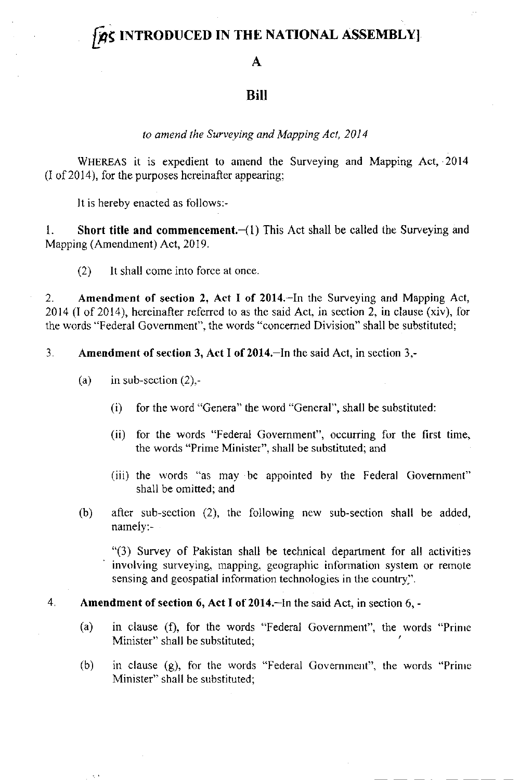# **PRS INTRODUCED IN THE NATIONAL ASSEMBLY**

#### A

## **Bill**

### to amend the Surveying and Mapping Act, 2014

WHEREAS it is expedient to amend the Surveying and Mapping Act, 2014  $(I of 2014)$ , for the purposes hereinafter appearing;

It is hereby enacted as follows:-

1. Short title and commencement.  $-(1)$  This Act shall be called the Surveying and Mapping (Amendment) Act, 2019.

(2) lt shall corre into force at once.

2. Amendment of scctior 2, Act I of 2014.-In the Surveying and Mapping Act, 2014 (l of 2014), hereinafter refered to as the said Act, in section 2, in clause (xiv), for the words "Federal Government", the words "concerned Division" shall be substituted;

### 3. Amendment of section 3, Act I ot 2014.-ln the said Act, in section 3,-

(a) in sub-section  $(2)$ ,-

N,

- $(i)$  for the word "Genera" the word "General", shall be substituted:
- (ii) for the words "Federal Government", occurring for the first time, the words "Prirne Minister", shall be substituted; and
- (iii) the words "as may bc appointed hy the Federal Govemment" shall be omitted; and
- (b) after sub-section  $(2)$ , the following new sub-section shall be added, narnely:-

"(3) Survey of Pakistan shall be technical department for all activities involving surveying, mapping, geographic information system or remote sensing and geospatial inforrnation technologies in the country.".

### 4. Amendment of section 6, Act I of 2014.-In the said Act, in section 6, -

- (a) in clause (f), for the words "Federal Government", the words "Prinre Minister" shall be substituted;
- (b) in clause (g), for the words "Federal Government". the words "Prinre Minister" shall be substituted;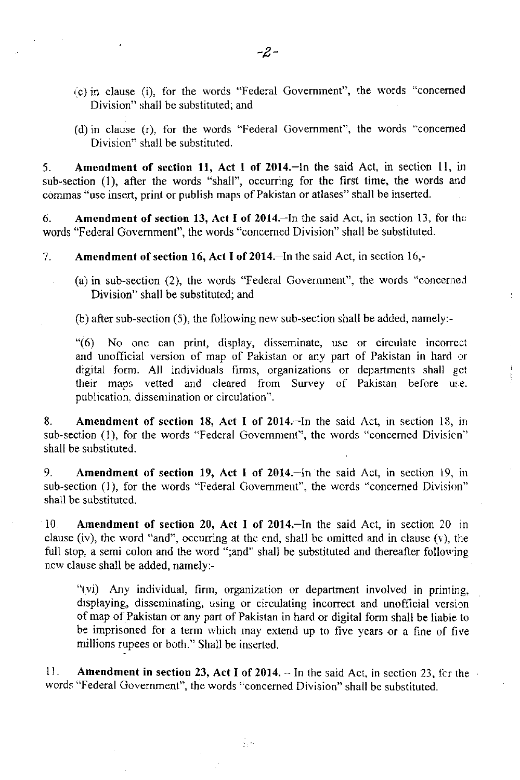- (c) in clause (i), for the words "Federal Government", the words "concerned Division" shall be substituted; and
- (d) in clause (r), for the words "Federal Govemmenl", the words "concerned Division" shall be substituted.

5. Amendment of section 11, Act I of 2014. In the said Act, in section 11, in sub-section (1), after the words "shall", occurring for the first time, the words and commas "use insert, print or publish maps of Pakistan or atlases" shall be inserted.

6. Amendment of section 13, Act I of 2014.-In the said Act, in section 13, for thc words "Federal Government", the words "concerned Division" shall be substituted.

7. Amendment of section 16, Act I of 2014. In the said Act, in section 16,-

(a) in sub-section (2), the words "Federal Government", the words "concemed Division" shall be substituted; and

(b) after sub-section (5), the following nerv sub-section shall be added, namely:-

"(6) No one can prinl, display, disseminate, use or circulate incorrect and unofficial version of map of Pakistan or any part of Pakistan in hard  $\circ$ r digital form. All individuals hrms, organizations or departments shall get their maps vetted and cleared from Survey of Pakistan before use. publication. dissemination or circulation".

 $\mathbf{I}$ 

8. Amendment of section 18, Act I of 2014.-In the said Act, in section 18, in sub-section (1), for the words "Federal Government", the words "concerned Division" shall be substituted.

9. Amendment of section 19, Act I of 2014.-ln the said Act, in section 19, in sub-section (1), for the words "Federal Government", the words "concemed Division" shall be substituted,

10. Amendment of section 20, Act I of 2014.-In the said AcI, in section 20 in clause (iv), the word "and", occurring at the end, shall be omitted and in clause (v), the full stop, a semi colon and the word ";and" shall be substituted and thereafter following new clause shall be added, namely:-

"(vi) Any individual, firm, organization or department involved in printing, displaying, disseminating, using or circulating incorrect and unofficial version of map of Pakistan or any part of Pakistan in hard or digital form shall be liable to be imprisoned for a term which may extend up to five years or a fine of five millions rupees or both." Shall be inserted,

11. Amendment in section 23, Act I of 2014.  $-$  In the said Act, in section 23, for the words "Federal Government", the words "concerned Division" shall be substituted.

∬.